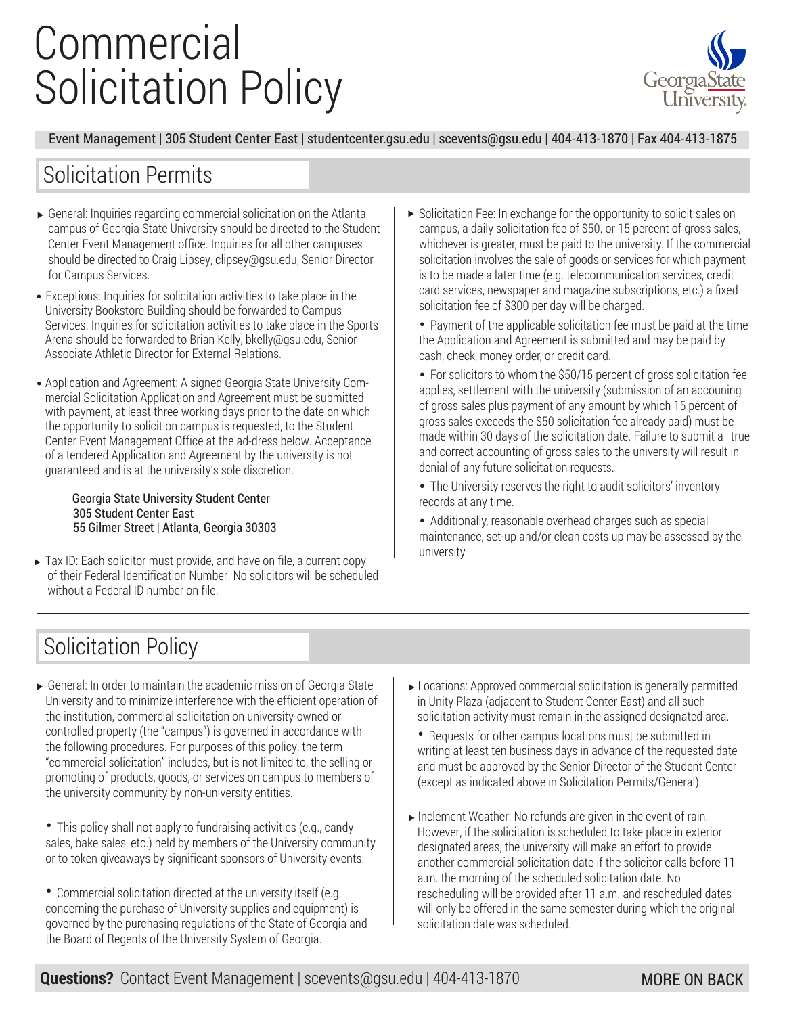# **Commercial** Solicitation Policy



Event Management | 305 Student Center East | studentcenter.gsu.edu | scevents@gsu.edu | 404-413-1870 | Fax 404-413-1875

### Solicitation Permits

- General: Inquiries regarding commercial solicitation on the Atlanta campus of Georgia State University should be directed to the Student Center Event Management office. Inquiries for all other campuses should be directed to Craig Lipsey, clipsey@gsu.edu, Senior Director for Campus Services.
- Exceptions: Inquiries for solicitation activities to take place in the University Bookstore Building should be forwarded to Campus Services. Inquiries for solicitation activities to take place in the Sports Arena should be forwarded to Brian Kelly, bkelly@gsu.edu, Senior Associate Athletic Director for External Relations.
- Application and Agreement: A signed Georgia State University Com-•mercial Solicitation Application and Agreement must be submitted with payment, at least three working days prior to the date on which the opportunity to solicit on campus is requested, to the Student Center Event Management Office at the ad-dress below. Acceptance of a tendered Application and Agreement by the university is not guaranteed and is at the university's sole discretion.

#### Georgia State University Student Center 305 Student Center East 55 Gilmer Street | Atlanta, Georgia 30303

► Tax ID: Each solicitor must provide, and have on file, a current copy of their Federal Identification Number. No solicitors will be scheduled without a Federal ID number on file.

- ► Solicitation Fee: In exchange for the opportunity to solicit sales on campus, a daily solicitation fee of \$50. or 15 percent of gross sales, whichever is greater, must be paid to the university. If the commercial solicitation involves the sale of goods or services for which payment is to be made a later time (e.g. telecommunication services, credit card services, newspaper and magazine subscriptions, etc.) a fixed solicitation fee of \$300 per day will be charged.
	- Payment of the applicable solicitation fee must be paid at the time the Application and Agreement is submitted and may be paid by cash, check, money order, or credit card.
	- For solicitors to whom the \$50/15 percent of gross solicitation fee applies, settlement with the university (submission of an accouning of gross sales plus payment of any amount by which 15 percent of gross sales exceeds the \$50 solicitation fee already paid) must be made within 30 days of the solicitation date. Failure to submit a true and correct accounting of gross sales to the university will result in denial of any future solicitation requests.
	- The University reserves the right to audit solicitors' inventory records at any time.
	- Additionally, reasonable overhead charges such as special maintenance, set-up and/or clean costs up may be assessed by the university.

### Solicitation Policy

 General: In order to maintain the academic mission of Georgia State University and to minimize interference with the efficient operation of the institution, commercial solicitation on university-owned or controlled property (the "campus") is governed in accordance with the following procedures. For purposes of this policy, the term "commercial solicitation" includes, but is not limited to, the selling or promoting of products, goods, or services on campus to members of the university community by non-university entities.

• This policy shall not apply to fundraising activities (e.g., candy sales, bake sales, etc.) held by members of the University community or to token giveaways by significant sponsors of University events.

• Commercial solicitation directed at the university itself (e.g. concerning the purchase of University supplies and equipment) is governed by the purchasing regulations of the State of Georgia and the Board of Regents of the University System of Georgia.

- Locations: Approved commercial solicitation is generally permitted in Unity Plaza (adjacent to Student Center East) and all such solicitation activity must remain in the assigned designated area.
- Requests for other campus locations must be submitted in writing at least ten business days in advance of the requested date and must be approved by the Senior Director of the Student Center (except as indicated above in Solicitation Permits/General).
- Inclement Weather: No refunds are given in the event of rain. However, if the solicitation is scheduled to take place in exterior designated areas, the university will make an effort to provide another commercial solicitation date if the solicitor calls before 11 a.m. the morning of the scheduled solicitation date. No rescheduling will be provided after 11 a.m. and rescheduled dates will only be offered in the same semester during which the original solicitation date was scheduled.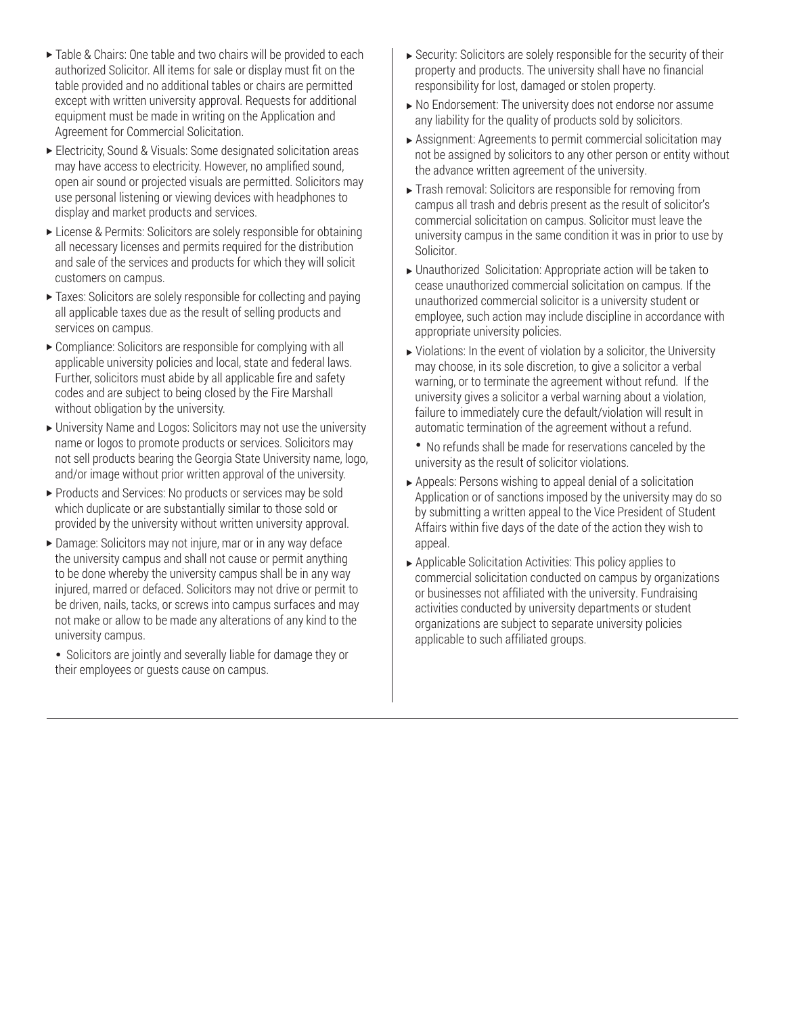- ▶ Table & Chairs: One table and two chairs will be provided to each authorized Solicitor. All items for sale or display must fit on the table provided and no additional tables or chairs are permitted except with written university approval. Requests for additional equipment must be made in writing on the Application and Agreement for Commercial Solicitation.
- Electricity, Sound & Visuals: Some designated solicitation areas may have access to electricity. However, no amplified sound, open air sound or projected visuals are permitted. Solicitors may use personal listening or viewing devices with headphones to display and market products and services.
- License & Permits: Solicitors are solely responsible for obtaining all necessary licenses and permits required for the distribution and sale of the services and products for which they will solicit customers on campus.
- Taxes: Solicitors are solely responsible for collecting and paying all applicable taxes due as the result of selling products and services on campus.
- Compliance: Solicitors are responsible for complying with all applicable university policies and local, state and federal laws. Further, solicitors must abide by all applicable fire and safety codes and are subject to being closed by the Fire Marshall without obligation by the university.
- University Name and Logos: Solicitors may not use the university name or logos to promote products or services. Solicitors may not sell products bearing the Georgia State University name, logo, and/or image without prior written approval of the university.
- ▶ Products and Services: No products or services may be sold which duplicate or are substantially similar to those sold or provided by the university without written university approval.
- Damage: Solicitors may not injure, mar or in any way deface the university campus and shall not cause or permit anything to be done whereby the university campus shall be in any way injured, marred or defaced. Solicitors may not drive or permit to be driven, nails, tacks, or screws into campus surfaces and may not make or allow to be made any alterations of any kind to the university campus.
- Solicitors are jointly and severally liable for damage they or their employees or guests cause on campus.
- Security: Solicitors are solely responsible for the security of their property and products. The university shall have no financial responsibility for lost, damaged or stolen property.
- No Endorsement: The university does not endorse nor assume any liability for the quality of products sold by solicitors.
- Assignment: Agreements to permit commercial solicitation may not be assigned by solicitors to any other person or entity without the advance written agreement of the university.
- ► Trash removal: Solicitors are responsible for removing from campus all trash and debris present as the result of solicitor's commercial solicitation on campus. Solicitor must leave the university campus in the same condition it was in prior to use by Solicitor.
- Unauthorized Solicitation: Appropriate action will be taken to cease unauthorized commercial solicitation on campus. If the unauthorized commercial solicitor is a university student or employee, such action may include discipline in accordance with appropriate university policies.
- $\triangleright$  Violations: In the event of violation by a solicitor, the University may choose, in its sole discretion, to give a solicitor a verbal warning, or to terminate the agreement without refund. If the university gives a solicitor a verbal warning about a violation, failure to immediately cure the default/violation will result in automatic termination of the agreement without a refund.
- No refunds shall be made for reservations canceled by the university as the result of solicitor violations.
- Appeals: Persons wishing to appeal denial of a solicitation Application or of sanctions imposed by the university may do so by submitting a written appeal to the Vice President of Student Affairs within five days of the date of the action they wish to appeal.
- Applicable Solicitation Activities: This policy applies to commercial solicitation conducted on campus by organizations or businesses not affiliated with the university. Fundraising activities conducted by university departments or student organizations are subject to separate university policies applicable to such affiliated groups.